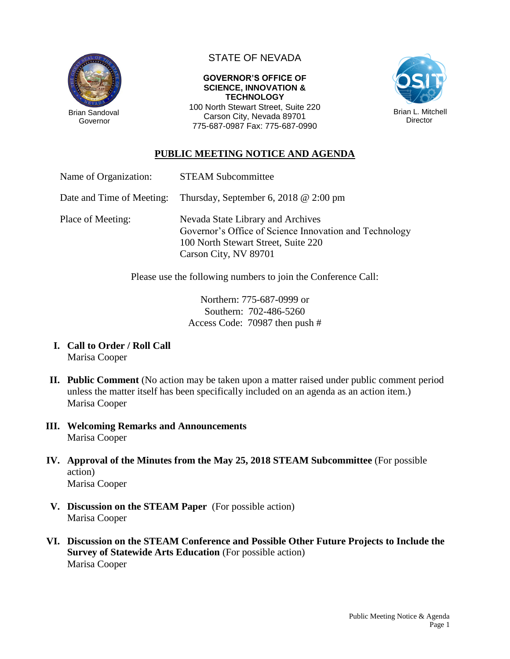

STATE OF NEVADA

## **GOVERNOR'S OFFICE OF SCIENCE, INNOVATION & TECHNOLOGY**

100 North Stewart Street, Suite 220 Carson City, Nevada 89701 775-687-0987 Fax: 775-687-0990



## **PUBLIC MEETING NOTICE AND AGENDA**

| Name of Organization: | <b>STEAM Subcommittee</b> |
|-----------------------|---------------------------|
|                       |                           |

Date and Time of Meeting: Thursday, September 6, 2018 @ 2:00 pm

Place of Meeting: Nevada State Library and Archives Governor's Office of Science Innovation and Technology 100 North Stewart Street, Suite 220 Carson City, NV 89701

Please use the following numbers to join the Conference Call:

Northern: 775-687-0999 or Southern: 702-486-5260 Access Code: 70987 then push #

- **I. Call to Order / Roll Call** Marisa Cooper
- **II. Public Comment** (No action may be taken upon a matter raised under public comment period unless the matter itself has been specifically included on an agenda as an action item.) Marisa Cooper
- **III. Welcoming Remarks and Announcements** Marisa Cooper
- **IV. Approval of the Minutes from the May 25, 2018 STEAM Subcommittee** (For possible action) Marisa Cooper
- **V. Discussion on the STEAM Paper** (For possible action) Marisa Cooper
- **VI. Discussion on the STEAM Conference and Possible Other Future Projects to Include the Survey of Statewide Arts Education** (For possible action) Marisa Cooper